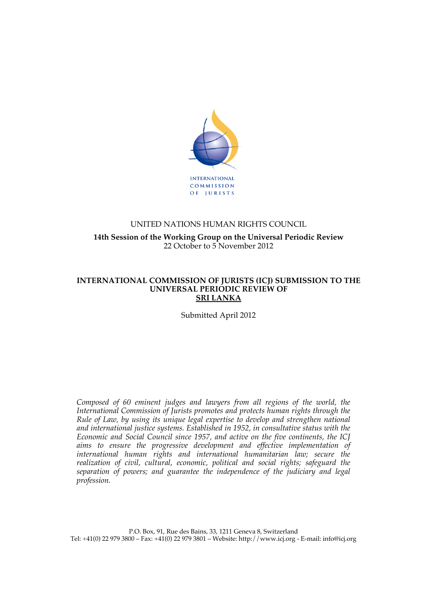

## UNITED NATIONS HUMAN RIGHTS COUNCIL **14th Session of the Working Group on the Universal Periodic Review** 22 October to 5 November 2012

#### **INTERNATIONAL COMMISSION OF JURISTS (ICJ) SUBMISSION TO THE UNIVERSAL PERIODIC REVIEW OF SRI LANKA**

Submitted April 2012

*Composed of 60 eminent judges and lawyers from all regions of the world, the International Commission of Jurists promotes and protects human rights through the Rule of Law, by using its unique legal expertise to develop and strengthen national and international justice systems. Established in 1952, in consultative status with the Economic and Social Council since 1957, and active on the five continents, the ICJ aims to ensure the progressive development and effective implementation of international human rights and international humanitarian law; secure the realization of civil, cultural, economic, political and social rights; safeguard the separation of powers; and guarantee the independence of the judiciary and legal profession.*

P.O. Box, 91, Rue des Bains, 33, 1211 Geneva 8, Switzerland Tel: +41(0) 22 979 3800 – Fax: +41(0) 22 979 3801 – Website: http://www.icj.org - E-mail: info@icj.org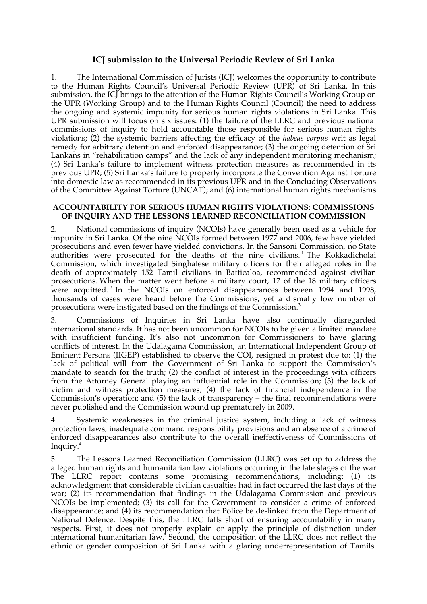### **ICJ submission to the Universal Periodic Review of Sri Lanka**

1. The International Commission of Jurists (ICJ) welcomes the opportunity to contribute to the Human Rights Council's Universal Periodic Review (UPR) of Sri Lanka. In this submission, the ICJ brings to the attention of the Human Rights Council's Working Group on the UPR (Working Group) and to the Human Rights Council (Council) the need to address the ongoing and systemic impunity for serious human rights violations in Sri Lanka. This UPR submission will focus on six issues: (1) the failure of the LLRC and previous national commissions of inquiry to hold accountable those responsible for serious human rights violations; (2) the systemic barriers affecting the efficacy of the *habeas corpus* writ as legal remedy for arbitrary detention and enforced disappearance; (3) the ongoing detention of Sri Lankans in "rehabilitation camps" and the lack of any independent monitoring mechanism; (4) Sri Lanka's failure to implement witness protection measures as recommended in its previous UPR; (5) Sri Lanka's failure to properly incorporate the Convention Against Torture into domestic law as recommended in its previous UPR and in the Concluding Observations of the Committee Against Torture (UNCAT); and (6) international human rights mechanisms.

#### **ACCOUNTABILITY FOR SERIOUS HUMAN RIGHTS VIOLATIONS: COMMISSIONS OF INQUIRY AND THE LESSONS LEARNED RECONCILIATION COMMISSION**

2. National commissions of inquiry (NCOIs) have generally been used as a vehicle for impunity in Sri Lanka. Of the nine NCOIs formed between 1977 and 2006, few have yielded prosecutions and even fewer have yielded convictions. In the Sansoni Commission, no State authorities were prosecuted for the deaths of the nine civilians.<sup>1</sup> The Kokkadicholai Commission, which investigated Singhalese military officers for their alleged roles in the death of approximately 152 Tamil civilians in Batticaloa, recommended against civilian prosecutions. When the matter went before a military court, 17 of the 18 military officers were acquitted.<sup>2</sup> In the NCOIs on enforced disappearances between 1994 and 1998, thousands of cases were heard before the Commissions, yet a dismally low number of prosecutions were instigated based on the findings of the Commission. 3

3. Commissions of Inquiries in Sri Lanka have also continually disregarded international standards. It has not been uncommon for NCOIs to be given a limited mandate with insufficient funding. It's also not uncommon for Commissioners to have glaring conflicts of interest. In the Udalagama Commission, an International Independent Group of Eminent Persons (IIGEP) established to observe the COI, resigned in protest due to: (1) the lack of political will from the Government of Sri Lanka to support the Commission's mandate to search for the truth; (2) the conflict of interest in the proceedings with officers from the Attorney General playing an influential role in the Commission; (3) the lack of victim and witness protection measures; (4) the lack of financial independence in the Commission's operation; and (5) the lack of transparency – the final recommendations were never published and the Commission wound up prematurely in 2009.

4. Systemic weaknesses in the criminal justice system, including a lack of witness protection laws, inadequate command responsibility provisions and an absence of a crime of enforced disappearances also contribute to the overall ineffectiveness of Commissions of Inquiry. 4

5. The Lessons Learned Reconciliation Commission (LLRC) was set up to address the alleged human rights and humanitarian law violations occurring in the late stages of the war. The LLRC report contains some promising recommendations, including: (1) its acknowledgment that considerable civilian casualties had in fact occurred the last days of the war; (2) its recommendation that findings in the Udalagama Commission and previous NCOIs be implemented; (3) its call for the Government to consider a crime of enforced disappearance; and (4) its recommendation that Police be de-linked from the Department of National Defence. Despite this, the LLRC falls short of ensuring accountability in many respects. First, it does not properly explain or apply the principle of distinction under international humanitarian law.<sup>5</sup> Second, the composition of the LLRC does not reflect the ethnic or gender composition of Sri Lanka with a glaring underrepresentation of Tamils.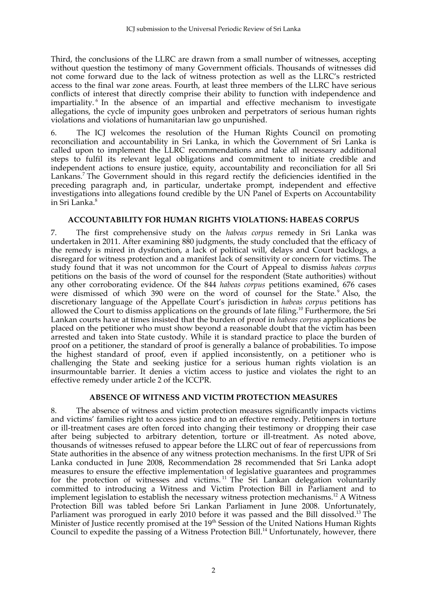Third, the conclusions of the LLRC are drawn from a small number of witnesses, accepting without question the testimony of many Government officials. Thousands of witnesses did not come forward due to the lack of witness protection as well as the LLRC's restricted access to the final war zone areas. Fourth, at least three members of the LLRC have serious conflicts of interest that directly comprise their ability to function with independence and impartiality. <sup>6</sup> In the absence of an impartial and effective mechanism to investigate allegations, the cycle of impunity goes unbroken and perpetrators of serious human rights violations and violations of humanitarian law go unpunished.

6. The ICJ welcomes the resolution of the Human Rights Council on promoting reconciliation and accountability in Sri Lanka, in which the Government of Sri Lanka is called upon to implement the LLRC recommendations and take all necessary additional steps to fulfil its relevant legal obligations and commitment to initiate credible and independent actions to ensure justice, equity, accountability and reconciliation for all Sri Lankans.<sup>7</sup> The Government should in this regard rectify the deficiencies identified in the preceding paragraph and, in particular, undertake prompt, independent and effective investigations into allegations found credible by the UN Panel of Experts on Accountability in Sri Lanka.<sup>8</sup>

#### **ACCOUNTABILITY FOR HUMAN RIGHTS VIOLATIONS: HABEAS CORPUS**

7. The first comprehensive study on the *habeas corpus* remedy in Sri Lanka was undertaken in 2011. After examining 880 judgments, the study concluded that the efficacy of the remedy is mired in dysfunction, a lack of political will, delays and Court backlogs, a disregard for witness protection and a manifest lack of sensitivity or concern for victims. The study found that it was not uncommon for the Court of Appeal to dismiss *habeas corpus* petitions on the basis of the word of counsel for the respondent (State authorities) without any other corroborating evidence. Of the 844 *habeas corpus* petitions examined, 676 cases were dismissed of which 390 were on the word of counsel for the State.<sup>9</sup> Also, the discretionary language of the Appellate Court's jurisdiction in *habeas corpus* petitions has allowed the Court to dismiss applications on the grounds of late filing.10 Furthermore, the Sri Lankan courts have at times insisted that the burden of proof in *habeas corpus* applications be placed on the petitioner who must show beyond a reasonable doubt that the victim has been arrested and taken into State custody. While it is standard practice to place the burden of proof on a petitioner, the standard of proof is generally a balance of probabilities. To impose the highest standard of proof, even if applied inconsistently, on a petitioner who is challenging the State and seeking justice for a serious human rights violation is an insurmountable barrier. It denies a victim access to justice and violates the right to an effective remedy under article 2 of the ICCPR.

## **ABSENCE OF WITNESS AND VICTIM PROTECTION MEASURES**

8. The absence of witness and victim protection measures significantly impacts victims and victims' families right to access justice and to an effective remedy. Petitioners in torture or ill-treatment cases are often forced into changing their testimony or dropping their case after being subjected to arbitrary detention, torture or ill-treatment. As noted above, thousands of witnesses refused to appear before the LLRC out of fear of repercussions from State authorities in the absence of any witness protection mechanisms. In the first UPR of Sri Lanka conducted in June 2008, Recommendation 28 recommended that Sri Lanka adopt measures to ensure the effective implementation of legislative guarantees and programmes for the protection of witnesses and victims.<sup>11</sup> The Sri Lankan delegation voluntarily committed to introducing a Witness and Victim Protection Bill in Parliament and to implement legislation to establish the necessary witness protection mechanisms.<sup>12</sup> A Witness Protection Bill was tabled before Sri Lankan Parliament in June 2008. Unfortunately, Parliament was prorogued in early 2010 before it was passed and the Bill dissolved.<sup>13</sup> The Minister of Justice recently promised at the 19<sup>th</sup> Session of the United Nations Human Rights Council to expedite the passing of a Witness Protection Bill.<sup>14</sup> Unfortunately, however, there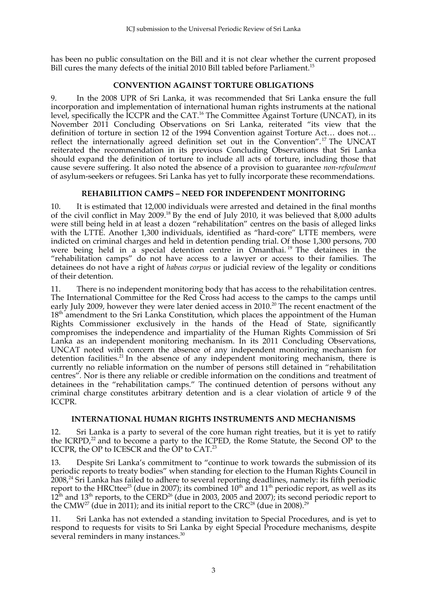has been no public consultation on the Bill and it is not clear whether the current proposed Bill cures the many defects of the initial 2010 Bill tabled before Parliament.<sup>15</sup>

# **CONVENTION AGAINST TORTURE OBLIGATIONS**

9. In the 2008 UPR of Sri Lanka, it was recommended that Sri Lanka ensure the full incorporation and implementation of international human rights instruments at the national level, specifically the ICCPR and the CAT.<sup>16</sup> The Committee Against Torture (UNCAT), in its November 2011 Concluding Observations on Sri Lanka, reiterated "its view that the definition of torture in section 12 of the 1994 Convention against Torture Act… does not… reflect the internationally agreed definition set out in the Convention". <sup>17</sup> The UNCAT reiterated the recommendation in its previous Concluding Observations that Sri Lanka should expand the definition of torture to include all acts of torture, including those that cause severe suffering. It also noted the absence of a provision to guarantee *non-refoulement* of asylum-seekers or refugees. Sri Lanka has yet to fully incorporate these recommendations.

### **REHABILITION CAMPS – NEED FOR INDEPENDENT MONITORING**

10. It is estimated that 12,000 individuals were arrested and detained in the final months of the civil conflict in May 2009.18 By the end of July 2010, it was believed that 8,000 adults were still being held in at least a dozen "rehabilitation" centres on the basis of alleged links with the LTTE. Another 1,300 individuals, identified as "hard-core" LTTE members, were indicted on criminal charges and held in detention pending trial. Of those 1,300 persons, 700 were being held in a special detention centre in Omanthai.<sup>19</sup> The detainees in the "rehabilitation camps" do not have access to a lawyer or access to their families. The detainees do not have a right of *habeas corpus* or judicial review of the legality or conditions of their detention.

11. There is no independent monitoring body that has access to the rehabilitation centres. The International Committee for the Red Cross had access to the camps to the camps until early July 2009, however they were later denied access in 2010.<sup>20</sup> The recent enactment of the 18<sup>th</sup> amendment to the Sri Lanka Constitution, which places the appointment of the Human Rights Commissioner exclusively in the hands of the Head of State, significantly compromises the independence and impartiality of the Human Rights Commission of Sri Lanka as an independent monitoring mechanism. In its 2011 Concluding Observations, UNCAT noted with concern the absence of any independent monitoring mechanism for detention facilities.21 In the absence of any independent monitoring mechanism, there is currently no reliable information on the number of persons still detained in "rehabilitation centres". Nor is there any reliable or credible information on the conditions and treatment of detainees in the "rehabilitation camps." The continued detention of persons without any criminal charge constitutes arbitrary detention and is a clear violation of article 9 of the ICCPR.

### **INTERNATIONAL HUMAN RIGHTS INSTRUMENTS AND MECHANISMS**

12. Sri Lanka is a party to several of the core human right treaties, but it is yet to ratify the ICRPD, $^{22}$  and to become a party to the ICPED, the Rome Statute, the Second OP to the ICCPR, the OP to ICESCR and the OP to CAT. 23

13. Despite Sri Lanka's commitment to "continue to work towards the submission of its periodic reports to treaty bodies" when standing for election to the Human Rights Council in 2008,<sup>24</sup> Sri Lanka has failed to adhere to several reporting deadlines, namely: its fifth periodic report to the HRCttee<sup>25</sup> (due in 2007); its combined 10<sup>th</sup> and 11<sup>th</sup> periodic report, as well as its  $12^{\text{th}}$  and  $13^{\text{th}}$  reports, to the CERD<sup>26</sup> (due in 2003, 2005 and 2007); its second periodic report to the CMW $^{27}$  (due in 2011); and its initial report to the CRC $^{28}$  (due in 2008). $^{29}$ 

11. Sri Lanka has not extended a standing invitation to Special Procedures, and is yet to respond to requests for visits to Sri Lanka by eight Special Procedure mechanisms, despite several reminders in many instances.<sup>30</sup>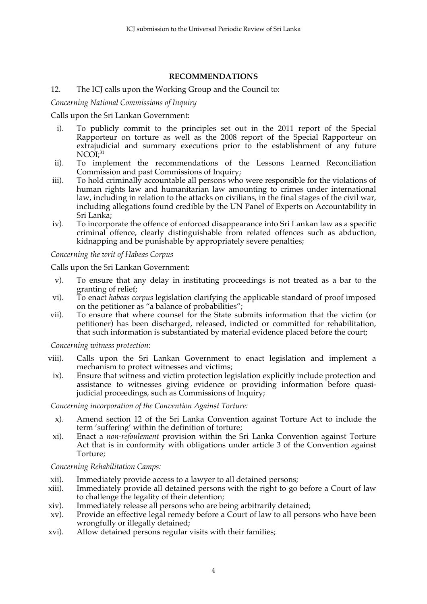## **RECOMMENDATIONS**

## 12. The ICJ calls upon the Working Group and the Council to:

*Concerning National Commissions of Inquiry*

Calls upon the Sri Lankan Government:

- i). To publicly commit to the principles set out in the 2011 report of the Special Rapporteur on torture as well as the 2008 report of the Special Rapporteur on extrajudicial and summary executions prior to the establishment of any future NCOI; 31
- ii). To implement the recommendations of the Lessons Learned Reconciliation Commission and past Commissions of Inquiry;
- iii). To hold criminally accountable all persons who were responsible for the violations of human rights law and humanitarian law amounting to crimes under international law, including in relation to the attacks on civilians, in the final stages of the civil war, including allegations found credible by the UN Panel of Experts on Accountability in Sri Lanka;
- iv). To incorporate the offence of enforced disappearance into Sri Lankan law as a specific criminal offence, clearly distinguishable from related offences such as abduction, kidnapping and be punishable by appropriately severe penalties;

*Concerning the writ of Habeas Corpus*

Calls upon the Sri Lankan Government:

- v). To ensure that any delay in instituting proceedings is not treated as a bar to the granting of relief;
- vi). To enact *habeas corpus* legislation clarifying the applicable standard of proof imposed on the petitioner as "a balance of probabilities";
- vii). To ensure that where counsel for the State submits information that the victim (or petitioner) has been discharged, released, indicted or committed for rehabilitation, that such information is substantiated by material evidence placed before the court;

*Concerning witness protection:*

- viii). Calls upon the Sri Lankan Government to enact legislation and implement a mechanism to protect witnesses and victims;
- ix). Ensure that witness and victim protection legislation explicitly include protection and assistance to witnesses giving evidence or providing information before quasijudicial proceedings, such as Commissions of Inquiry;

*Concerning incorporation of the Convention Against Torture:*

- x). Amend section 12 of the Sri Lanka Convention against Torture Act to include the term 'suffering' within the definition of torture;
- xi). Enact a *non-refoulement* provision within the Sri Lanka Convention against Torture Act that is in conformity with obligations under article 3 of the Convention against Torture;

*Concerning Rehabilitation Camps:*

- xii). Immediately provide access to a lawyer to all detained persons;
- xiii). Immediately provide all detained persons with the right to go before a Court of law to challenge the legality of their detention;
- xiv). Immediately release all persons who are being arbitrarily detained;
- xv). Provide an effective legal remedy before a Court of law to all persons who have been wrongfully or illegally detained;
- xvi). Allow detained persons regular visits with their families;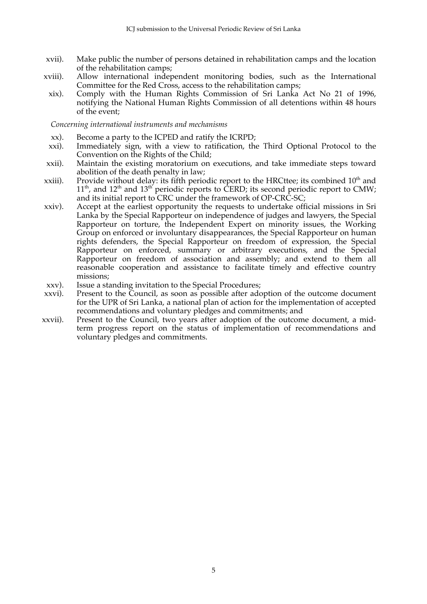- xvii). Make public the number of persons detained in rehabilitation camps and the location of the rehabilitation camps;
- xviii). Allow international independent monitoring bodies, such as the International Committee for the Red Cross, access to the rehabilitation camps;
- xix). Comply with the Human Rights Commission of Sri Lanka Act No 21 of 1996, notifying the National Human Rights Commission of all detentions within 48 hours of the event;

#### *Concerning international instruments and mechanisms*

- xx). Become a party to the ICPED and ratify the ICRPD;
- xxi). Immediately sign, with a view to ratification, the Third Optional Protocol to the Convention on the Rights of the Child;
- xxii). Maintain the existing moratorium on executions, and take immediate steps toward abolition of the death penalty in law;
- xxiii). Provide without delay: its fifth periodic report to the HRCttee; its combined  $10^{th}$  and  $11<sup>th</sup>$ , and  $12<sup>th</sup>$  and  $13<sup>th'</sup>$  periodic reports to CERD; its second periodic report to CMW; and its initial report to CRC under the framework of OP-CRC-SC;
- xxiv). Accept at the earliest opportunity the requests to undertake official missions in Sri Lanka by the Special Rapporteur on independence of judges and lawyers, the Special Rapporteur on torture, the Independent Expert on minority issues, the Working Group on enforced or involuntary disappearances, the Special Rapporteur on human rights defenders, the Special Rapporteur on freedom of expression, the Special Rapporteur on enforced, summary or arbitrary executions, and the Special Rapporteur on freedom of association and assembly; and extend to them all reasonable cooperation and assistance to facilitate timely and effective country missions;
- xxv). Issue a standing invitation to the Special Procedures;
- xxvi). Present to the Council, as soon as possible after adoption of the outcome document for the UPR of Sri Lanka, a national plan of action for the implementation of accepted recommendations and voluntary pledges and commitments; and
- xxvii). Present to the Council, two years after adoption of the outcome document, a midterm progress report on the status of implementation of recommendations and voluntary pledges and commitments.